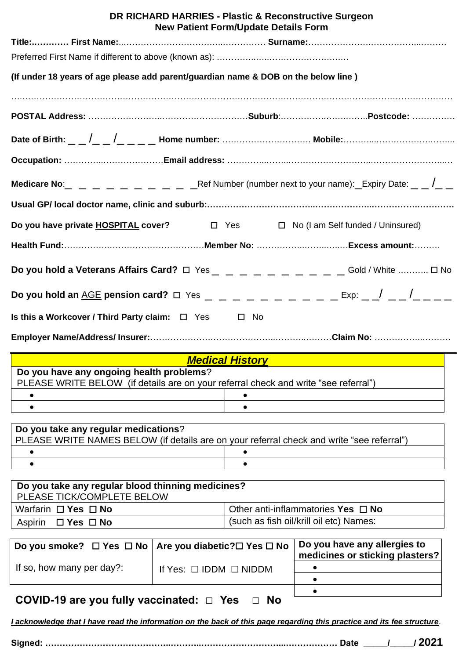| DR RICHARD HARRIES - Plastic & Reconstructive Surgeon<br><b>New Patient Form/Update Details Form</b> |                                                                                 |  |  |  |  |  |
|------------------------------------------------------------------------------------------------------|---------------------------------------------------------------------------------|--|--|--|--|--|
|                                                                                                      |                                                                                 |  |  |  |  |  |
|                                                                                                      |                                                                                 |  |  |  |  |  |
| (If under 18 years of age please add parent/guardian name & DOB on the below line)                   |                                                                                 |  |  |  |  |  |
|                                                                                                      |                                                                                 |  |  |  |  |  |
|                                                                                                      | Date of Birth: _ _ /_ _ /_ _ _ _ Home number: …………………………… Mobile:…………………………………… |  |  |  |  |  |
|                                                                                                      |                                                                                 |  |  |  |  |  |
|                                                                                                      |                                                                                 |  |  |  |  |  |
|                                                                                                      |                                                                                 |  |  |  |  |  |
| Do you have private HOSPITAL cover?<br>$\Box$ Yes $\Box$ No (I am Self funded / Uninsured)           |                                                                                 |  |  |  |  |  |
|                                                                                                      |                                                                                 |  |  |  |  |  |
|                                                                                                      |                                                                                 |  |  |  |  |  |
|                                                                                                      |                                                                                 |  |  |  |  |  |
| Is this a Workcover / Third Party claim: $\Box$ Yes $\Box$ No                                        |                                                                                 |  |  |  |  |  |
|                                                                                                      |                                                                                 |  |  |  |  |  |

### *Medical History*

| Do you have any ongoing health problems?                                            |  |  |  |  |
|-------------------------------------------------------------------------------------|--|--|--|--|
| PLEASE WRITE BELOW (if details are on your referral check and write "see referral") |  |  |  |  |
|                                                                                     |  |  |  |  |
|                                                                                     |  |  |  |  |
|                                                                                     |  |  |  |  |

### **Do you take any regular medications**? PLEASE WRITE NAMES BELOW (if details are on your referral check and write "see referral") • • • •

| Do you take any regular blood thinning medicines?<br>PLEASE TICK/COMPLETE BELOW |                                         |  |
|---------------------------------------------------------------------------------|-----------------------------------------|--|
| Warfarin $\Box$ Yes $\Box$ No                                                   | Other anti-inflammatories Yes $\Box$ No |  |
| Aspirin □ Yes □ No                                                              | (such as fish oil/krill oil etc) Names: |  |

| Do you smoke? $\Box$ Yes $\Box$ No   Are you diabetic? $\Box$ Yes $\Box$ No |           | Do you have any allergies to<br>medicines or sticking plasters? |
|-----------------------------------------------------------------------------|-----------|-----------------------------------------------------------------|
| If so, how many per day?:<br>If Yes: $\Box$ IDDM $\Box$ NIDDM               |           |                                                                 |
|                                                                             |           |                                                                 |
|                                                                             |           |                                                                 |
| $COMID$ 40 are veu fully vaccinated: $\neg$ Ves                             | $\Box$ No |                                                                 |

# **COVID-19 are you fully vaccinated:** ☐ **Yes** ☐ **No**

*I acknowledge that I have read the information on the back of this page regarding this practice and its fee structure*.

**Signed: ……………………………………..………..………………………...……………… Date \_\_\_\_\_/\_\_\_\_\_/ 2021**